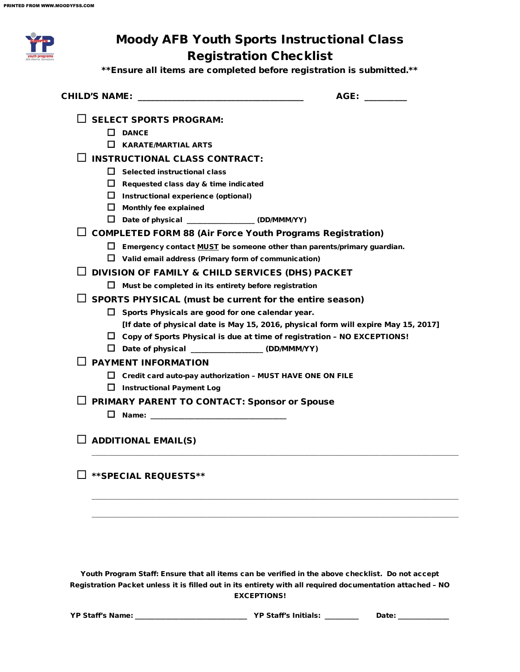| <b>Moody AFB Youth Sports Instructional Class</b><br><b>Registration Checklist</b> |                                                                                    |
|------------------------------------------------------------------------------------|------------------------------------------------------------------------------------|
| ** Ensure all items are completed before registration is submitted.**              |                                                                                    |
|                                                                                    | AGE: ________                                                                      |
| $\square$ SELECT SPORTS PROGRAM:                                                   |                                                                                    |
| $\Box$ DANCE                                                                       |                                                                                    |
| $\Box$<br><b>KARATE/MARTIAL ARTS</b>                                               |                                                                                    |
| <b>INSTRUCTIONAL CLASS CONTRACT:</b>                                               |                                                                                    |
| $\Box$ Selected instructional class                                                |                                                                                    |
| $\Box$ Requested class day & time indicated                                        |                                                                                    |
| $\Box$ Instructional experience (optional)                                         |                                                                                    |
| $\Box$ Monthly fee explained                                                       |                                                                                    |
| Date of physical _______________(DD/MMM/YY)                                        |                                                                                    |
| $\Box$ COMPLETED FORM 88 (Air Force Youth Programs Registration)                   |                                                                                    |
| $\Box$ Emergency contact MUST be someone other than parents/primary guardian.      |                                                                                    |
| $\Box$ Valid email address (Primary form of communication)                         |                                                                                    |
| DIVISION OF FAMILY & CHILD SERVICES (DHS) PACKET                                   |                                                                                    |
| ப<br>Must be completed in its entirety before registration                         |                                                                                    |
| SPORTS PHYSICAL (must be current for the entire season)                            |                                                                                    |
| $\Box$ Sports Physicals are good for one calendar year.                            |                                                                                    |
|                                                                                    | [If date of physical date is May 15, 2016, physical form will expire May 15, 2017] |
| $\Box$ Copy of Sports Physical is due at time of registration – NO EXCEPTIONS!     |                                                                                    |
| Date of physical _________________ (DD/MMM/YY)<br>⊔.                               |                                                                                    |
| <b>PAYMENT INFORMATION</b>                                                         |                                                                                    |
| ш<br>Credit card auto-pay authorization - MUST HAVE ONE ON FILE                    |                                                                                    |
| □ Instructional Payment Log                                                        |                                                                                    |
| <b>PRIMARY PARENT TO CONTACT: Sponsor or Spouse</b>                                |                                                                                    |
|                                                                                    |                                                                                    |
| $\Box$ ADDITIONAL EMAIL(S)                                                         |                                                                                    |
| ** SPECIAL REQUESTS**                                                              |                                                                                    |
|                                                                                    |                                                                                    |
|                                                                                    |                                                                                    |

Youth Program Staff: Ensure that all items can be verified in the above checklist. Do not accept Registration Packet unless it is filled out in its entirety with all required documentation attached – NO EXCEPTIONS!

| <b>YP Staff's Name:</b> | <b>YP Staff's Initials:</b> |  |
|-------------------------|-----------------------------|--|
|                         |                             |  |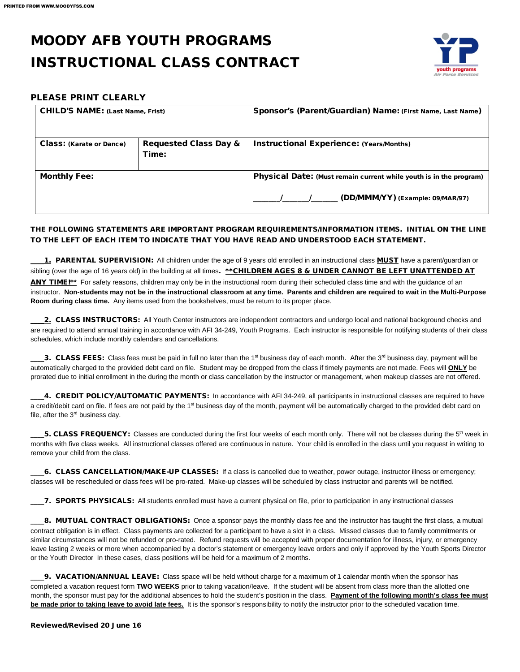## MOODY AFB YOUTH PROGRAMS INSTRUCTIONAL CLASS CONTRACT



#### PLEASE PRINT CLEARLY

| <b>CHILD'S NAME: (Last Name, Frist)</b>                                      |  | Sponsor's (Parent/Guardian) Name: (First Name, Last Name)                                              |  |  |
|------------------------------------------------------------------------------|--|--------------------------------------------------------------------------------------------------------|--|--|
| <b>Requested Class Day &amp;</b><br><b>Class: (Karate or Dance)</b><br>Time: |  | <b>Instructional Experience: (Years/Months)</b>                                                        |  |  |
| <b>Monthly Fee:</b>                                                          |  | Physical Date: (Must remain current while youth is in the program)<br>(DD/MMM/YY) (Example: 09/MAR/97) |  |  |

#### THE FOLLOWING STATEMENTS ARE IMPORTANT PROGRAM REQUIREMENTS/INFORMATION ITEMS. INITIAL ON THE LINE TO THE LEFT OF EACH ITEM TO INDICATE THAT YOU HAVE READ AND UNDERSTOOD EACH STATEMENT.

1. PARENTAL SUPERVISION: All children under the age of 9 years old enrolled in an instructional class **MUST** have a parent/guardian or sibling (over the age of 16 years old) in the building at all times. \*\*CHILDREN AGES 8 & UNDER CANNOT BE LEFT UNATTENDED AT ANY TIME!\***\*** For safety reasons, children may only be in the instructional room during their scheduled class time and with the guidance of an instructor. **Non-students may not be in the instructional classroom at any time. Parents and children are required to wait in the Multi-Purpose Room during class time.** Any items used from the bookshelves, must be return to its proper place.

2. CLASS INSTRUCTORS: All Youth Center instructors are independent contractors and undergo local and national background checks and are required to attend annual training in accordance with AFI 34-249, Youth Programs. Each instructor is responsible for notifying students of their class schedules, which include monthly calendars and cancellations.

13. CLASS FEES: Class fees must be paid in full no later than the 1<sup>st</sup> business day of each month. After the 3<sup>rd</sup> business day, payment will be automatically charged to the provided debt card on file. Student may be dropped from the class if timely payments are not made. Fees will **ONLY** be prorated due to initial enrollment in the during the month or class cancellation by the instructor or management, when makeup classes are not offered.

\_\_\_\_4. CREDIT POLICY/AUTOMATIC PAYMENTS:In accordance with AFI 34-249, all participants in instructional classes are required to have a credit/debit card on file. If fees are not paid by the 1st business day of the month, payment will be automatically charged to the provided debt card on file, after the  $3<sup>rd</sup>$  business day.

5. CLASS FREQUENCY: Classes are conducted during the first four weeks of each month only. There will not be classes during the 5<sup>th</sup> week in months with five class weeks. All instructional classes offered are continuous in nature. Your child is enrolled in the class until you request in writing to remove your child from the class.

\_\_\_\_6. CLASS CANCELLATION/MAKE-UP CLASSES:If a class is cancelled due to weather, power outage, instructor illness or emergency; classes will be rescheduled or class fees will be pro-rated. Make-up classes will be scheduled by class instructor and parents will be notified.

\_\_\_\_7. SPORTS PHYSICALS:All students enrolled must have a current physical on file, prior to participation in any instructional classes

\_8. MUTUAL CONTRACT OBLIGATIONS: Once a sponsor pays the monthly class fee and the instructor has taught the first class, a mutual contract obligation is in effect. Class payments are collected for a participant to have a slot in a class. Missed classes due to family commitments or similar circumstances will not be refunded or pro-rated. Refund requests will be accepted with proper documentation for illness, injury, or emergency leave lasting 2 weeks or more when accompanied by a doctor's statement or emergency leave orders and only if approved by the Youth Sports Director or the Youth Director In these cases, class positions will be held for a maximum of 2 months.

\_\_\_\_9. VACATION/ANNUAL LEAVE:Class space will be held without charge for a maximum of 1 calendar month when the sponsor has completed a vacation request form **TWO WEEKS** prior to taking vacation/leave. If the student will be absent from class more than the allotted one month, the sponsor must pay for the additional absences to hold the student's position in the class. **Payment of the following month's class fee must be made prior to taking leave to avoid late fees.** It is the sponsor's responsibility to notify the instructor prior to the scheduled vacation time.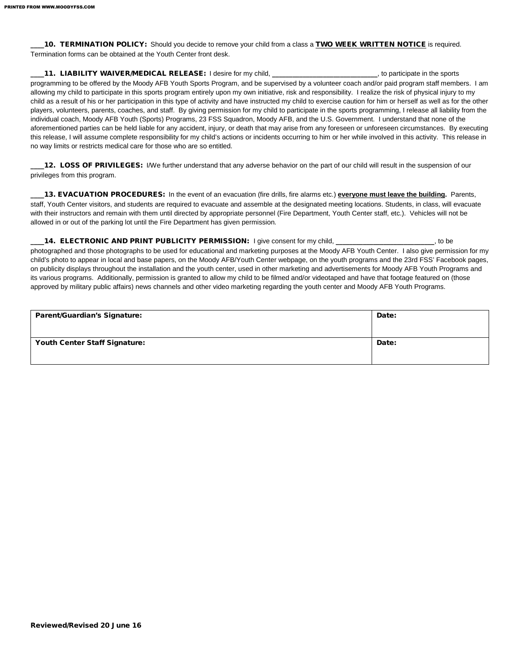\_\_\_\_10. TERMINATION POLICY:Should you decide to remove your child from a class a TWO WEEK WRITTEN NOTICE is required. Termination forms can be obtained at the Youth Center front desk.

\_\_\_\_11. LIABILITY WAIVER/MEDICAL RELEASE: I desire for my child, \_\_\_\_\_\_\_\_\_\_\_\_\_\_\_\_\_\_\_\_\_\_\_\_\_\_\_\_\_\_\_, to participate in the sports programming to be offered by the Moody AFB Youth Sports Program, and be supervised by a volunteer coach and/or paid program staff members. I am allowing my child to participate in this sports program entirely upon my own initiative, risk and responsibility. I realize the risk of physical injury to my child as a result of his or her participation in this type of activity and have instructed my child to exercise caution for him or herself as well as for the other players, volunteers, parents, coaches, and staff. By giving permission for my child to participate in the sports programming, I release all liability from the individual coach, Moody AFB Youth (Sports) Programs, 23 FSS Squadron, Moody AFB, and the U.S. Government. I understand that none of the aforementioned parties can be held liable for any accident, injury, or death that may arise from any foreseen or unforeseen circumstances. By executing this release, I will assume complete responsibility for my child's actions or incidents occurring to him or her while involved in this activity. This release in no way limits or restricts medical care for those who are so entitled.

12. LOSS OF PRIVILEGES: I/We further understand that any adverse behavior on the part of our child will result in the suspension of our privileges from this program.

\_\_\_\_13. EVACUATION PROCEDURES:In the event of an evacuation (fire drills, fire alarms etc.) **everyone must leave the building.** Parents, staff, Youth Center visitors, and students are required to evacuate and assemble at the designated meeting locations. Students, in class, will evacuate with their instructors and remain with them until directed by appropriate personnel (Fire Department, Youth Center staff, etc.). Vehicles will not be allowed in or out of the parking lot until the Fire Department has given permission.

14. ELECTRONIC AND PRINT PUBLICITY PERMISSION: I give consent for my child, \_\_\_\_\_\_\_\_\_\_\_\_\_\_\_\_\_\_\_\_\_\_\_\_\_\_, to be photographed and those photographs to be used for educational and marketing purposes at the Moody AFB Youth Center. I also give permission for my child's photo to appear in local and base papers, on the Moody AFB/Youth Center webpage, on the youth programs and the 23rd FSS' Facebook pages, on publicity displays throughout the installation and the youth center, used in other marketing and advertisements for Moody AFB Youth Programs and its various programs. Additionally, permission is granted to allow my child to be filmed and/or videotaped and have that footage featured on (those approved by military public affairs) news channels and other video marketing regarding the youth center and Moody AFB Youth Programs.

| <b>Parent/Guardian's Signature:</b>  | Date: |
|--------------------------------------|-------|
| <b>Youth Center Staff Signature:</b> | Date: |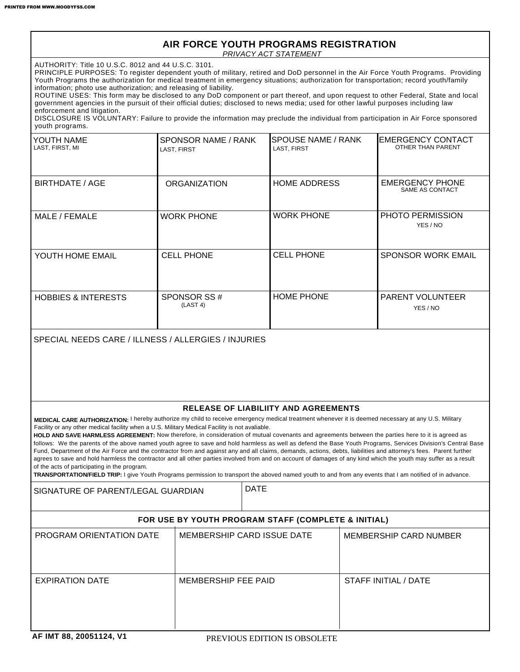#### *PRIVACY ACT STATEMENT* **AIR FORCE YOUTH PROGRAMS REGISTRATION**

AUTHORITY: Title 10 U.S.C. 8012 and 44 U.S.C. 3101.

PRINCIPLE PURPOSES: To register dependent youth of military, retired and DoD personnel in the Air Force Youth Programs. Providing Youth Programs the authorization for medical treatment in emergency situations; authorization for transportation; record youth/family information; photo use authorization; and releasing of liability.

ROUTINE USES: This form may be disclosed to any DoD component or part thereof, and upon request to other Federal, State and local government agencies in the pursuit of their official duties; disclosed to news media; used for other lawful purposes including law enforcement and litigation.

DISCLOSURE IS VOLUNTARY: Failure to provide the information may preclude the individual from participation in Air Force sponsored youth programs.

| YOUTH NAME<br>LAST, FIRST, MI  | SPONSOR NAME / RANK<br>LAST, FIRST | ISPOUSE NAME / RANK<br>LAST, FIRST | <b>IEMERGENCY CONTACT</b><br>OTHER THAN PARENT |
|--------------------------------|------------------------------------|------------------------------------|------------------------------------------------|
| BIRTHDATE / AGE                | <b>ORGANIZATION</b>                | <b>HOME ADDRESS</b>                | <b>EMERGENCY PHONE</b><br>SAME AS CONTACT      |
| MALE / FEMALE                  | <b>WORK PHONE</b>                  | <b>WORK PHONE</b>                  | <b>PHOTO PERMISSION</b><br>YES / NO            |
| YOUTH HOME EMAIL               | <b>CELL PHONE</b>                  | <b>CELL PHONE</b>                  | <b>SPONSOR WORK EMAIL</b>                      |
| <b>HOBBIES &amp; INTERESTS</b> | SPONSOR SS#<br>(LAST 4)            | <b>HOME PHONE</b>                  | <b>PARENT VOLUNTEER</b><br>YES / NO            |

SPECIAL NEEDS CARE / ILLNESS / ALLERGIES / INJURIES

#### **RELEASE OF LIABILIITY AND AGREEMENTS**

**MEDICAL CARE AUTHORIZATION:** I hereby authorize my child to receive emergency medical treatment whenever it is deemed necessary at any U.S. Military Facility or any other medical facility when a U.S. Military Medical Facility is not avaliable.

**HOLD AND SAVE HARMLESS AGREEMENT:** Now therefore, in consideration of mutual covenants and agreements between the parties here to it is agreed as follows: We the parents of the above named youth agree to save and hold harmless as well as defend the Base Youth Programs, Services Division's Central Base Fund, Department of the Air Force and the contractor from and against any and all claims, demands, actions, debts, liabilities and attorney's fees. Parent further agrees to save and hold harmless the contractor and all other parties involved from and on account of damages of any kind which the youth may suffer as a result of the acts of participating in the program.

**TRANSPORTATION/FIELD TRIP:** I give Youth Programs permission to transport the aboved named youth to and from any events that I am notified of in advance.

SIGNATURE OF PARENT/LEGAL GUARDIAN PATE

#### **FOR USE BY YOUTH PROGRAM STAFF (COMPLETE & INITIAL)**

| <b>PROGRAM ORIENTATION DATE</b> | MEMBERSHIP CARD ISSUE DATE | MEMBERSHIP CARD NUMBER |
|---------------------------------|----------------------------|------------------------|
| <b>EXPIRATION DATE</b>          | MEMBERSHIP FEE PAID        | STAFF INITIAL / DATE   |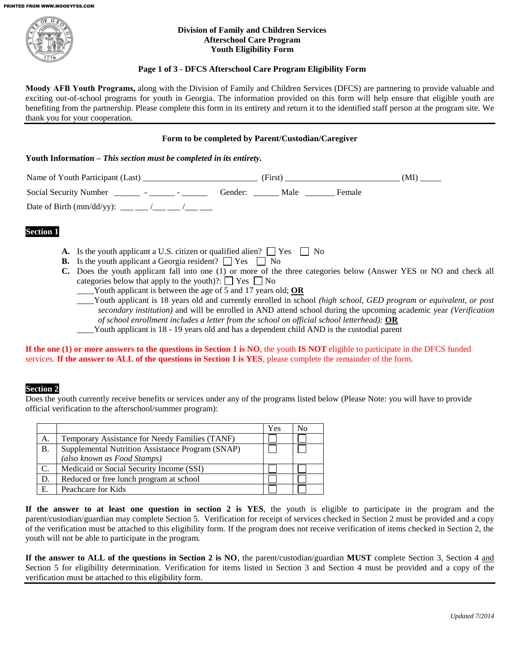

#### **Division of Family and Children Services Afterschool Care Program Youth Eligibility Form**

#### **Page 1 of 3 - DFCS Afterschool Care Program Eligibility Form**

**Moody AFB Youth Programs,** along with the Division of Family and Children Services (DFCS) are partnering to provide valuable and exciting out-of-school programs for youth in Georgia. The information provided on this form will help ensure that eligible youth are benefiting from the partnership. Please complete this form in its entirety and return it to the identified staff person at the program site. We thank you for your cooperation.

#### **Form to be completed by Parent/Custodian/Caregiver**

#### **Youth Information –** *This section must be completed in its entirety.*

| Name of Youth Participant (Last)                | (First)      | (MI)   |  |
|-------------------------------------------------|--------------|--------|--|
| Social Security Number _______ - ______ - _____ | Gender: Male | Female |  |
| Date of Birth (mm/dd/yy): ___ __ /___ __ /___   |              |        |  |

#### **Section 1**

- **A.** Is the youth applicant a U.S. citizen or qualified alien?  $\Box$  Yes  $\Box$  No
- **B.** Is the youth applicant a Georgia resident?  $\Box$  Yes  $\Box$  No
- **C.** Does the youth applicant fall into one (1) or more of the three categories below (Answer YES or NO and check all categories below that apply to the youth)?:  $\Box$  Yes  $\Box$  No
	- \_\_\_\_Youth applicant is between the age of 5 and 17 years old; **OR**
	- \_\_\_\_Youth applicant is 18 years old and currently enrolled in school *(high school, GED program or equivalent, or post secondary institution)* and will be enrolled in AND attend school during the upcoming academic year *(Verification of school enrollment includes a letter from the school on official school letterhead):* **OR**
	- Youth applicant is 18 19 years old and has a dependent child AND is the custodial parent

**If the one (1) or more answers to the questions in Section 1 is NO**, the youth **IS NOT** eligible to participate in the DFCS funded services. **If the answer to ALL of the questions in Section 1 is YES**, please complete the remainder of the form.

#### **Section 2**

Does the youth currently receive benefits or services under any of the programs listed below (Please Note: you will have to provide official verification to the afterschool/summer program):

|                 |                                                  | Yes | No |
|-----------------|--------------------------------------------------|-----|----|
| А.              | Temporary Assistance for Needy Families (TANF)   |     |    |
| <b>B.</b>       | Supplemental Nutrition Assistance Program (SNAP) |     |    |
|                 | (also known as Food Stamps)                      |     |    |
| $\mathcal{C}$ . | Medicaid or Social Security Income (SSI)         |     |    |
| D.              | Reduced or free lunch program at school          |     |    |
| Е.              | Peachcare for Kids                               |     |    |

**If the answer to at least one question in section 2 is YES**, the youth is eligible to participate in the program and the parent/custodian/guardian may complete Section 5. Verification for receipt of services checked in Section 2 must be provided and a copy of the verification must be attached to this eligibility form. If the program does not receive verification of items checked in Section 2, the youth will not be able to participate in the program.

**If the answer to ALL of the questions in Section 2 is NO**, the parent/custodian/guardian **MUST** complete Section 3, Section 4 and Section 5 for eligibility determination. Verification for items listed in Section 3 and Section 4 must be provided and a copy of the verification must be attached to this eligibility form.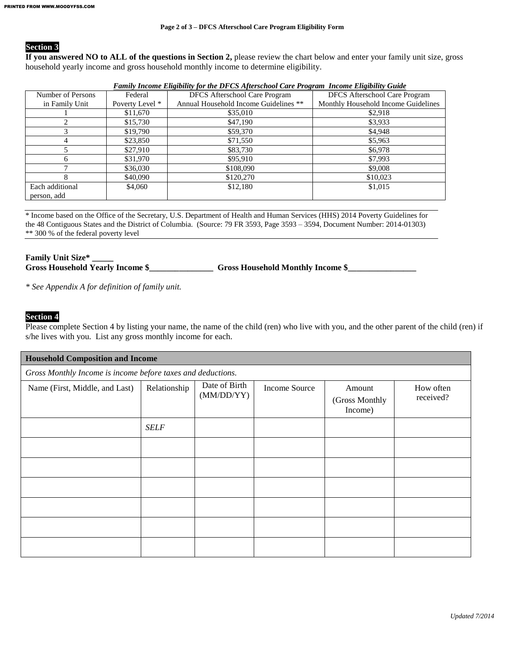#### **Section 3**

**If you answered NO to ALL of the questions in Section 2,** please review the chart below and enter your family unit size, gross household yearly income and gross household monthly income to determine eligibility.

| Family Income Eligibility for the DFCS Afterschool Care Program Income Eligibility Guide |                 |                                       |                                     |  |  |  |  |
|------------------------------------------------------------------------------------------|-----------------|---------------------------------------|-------------------------------------|--|--|--|--|
| <b>DFCS</b> Afterschool Care Program<br>Number of Persons<br>Federal                     |                 | <b>DFCS</b> Afterschool Care Program  |                                     |  |  |  |  |
| in Family Unit                                                                           | Poverty Level * | Annual Household Income Guidelines ** | Monthly Household Income Guidelines |  |  |  |  |
|                                                                                          | \$11,670        | \$35,010                              | \$2,918                             |  |  |  |  |
|                                                                                          | \$15,730        | \$47,190                              | \$3,933                             |  |  |  |  |
|                                                                                          | \$19,790        | \$59,370                              | \$4,948                             |  |  |  |  |
|                                                                                          | \$23,850        | \$71,550                              | \$5,963                             |  |  |  |  |
|                                                                                          | \$27,910        | \$83,730                              | \$6,978                             |  |  |  |  |
| <sub>6</sub>                                                                             | \$31,970        | \$95,910                              | \$7,993                             |  |  |  |  |
|                                                                                          | \$36,030        | \$108,090                             | \$9,008                             |  |  |  |  |
| 8                                                                                        | \$40,090        | \$120,270                             | \$10,023                            |  |  |  |  |
| Each additional                                                                          | \$4,060         | \$12,180                              | \$1,015                             |  |  |  |  |
| person, add                                                                              |                 |                                       |                                     |  |  |  |  |

\* Income based on the Office of the Secretary, U.S. Department of Health and Human Services (HHS) 2014 Poverty Guidelines for the 48 Contiguous States and the District of Columbia. (Source: 79 FR 3593, Page 3593 – 3594, Document Number: 2014-01303) \*\* 300 % of the federal poverty level

**Family Unit Size\* \_\_\_\_\_**  Gross Household Yearly Income \$\_\_\_\_\_\_\_\_\_\_\_\_\_\_\_\_\_\_\_\_ Gross Household Monthly Income \$\_\_\_\_\_\_\_\_\_\_\_\_\_\_\_\_

*\* See Appendix A for definition of family unit.*

#### **Section 4**

Please complete Section 4 by listing your name, the name of the child (ren) who live with you, and the other parent of the child (ren) if s/he lives with you. List any gross monthly income for each.

| <b>Household Composition and Income</b>                     |              |                             |               |                                     |                        |
|-------------------------------------------------------------|--------------|-----------------------------|---------------|-------------------------------------|------------------------|
| Gross Monthly Income is income before taxes and deductions. |              |                             |               |                                     |                        |
| Name (First, Middle, and Last)                              | Relationship | Date of Birth<br>(MM/DD/YY) | Income Source | Amount<br>(Gross Monthly<br>Income) | How often<br>received? |
|                                                             | <b>SELF</b>  |                             |               |                                     |                        |
|                                                             |              |                             |               |                                     |                        |
|                                                             |              |                             |               |                                     |                        |
|                                                             |              |                             |               |                                     |                        |
|                                                             |              |                             |               |                                     |                        |
|                                                             |              |                             |               |                                     |                        |
|                                                             |              |                             |               |                                     |                        |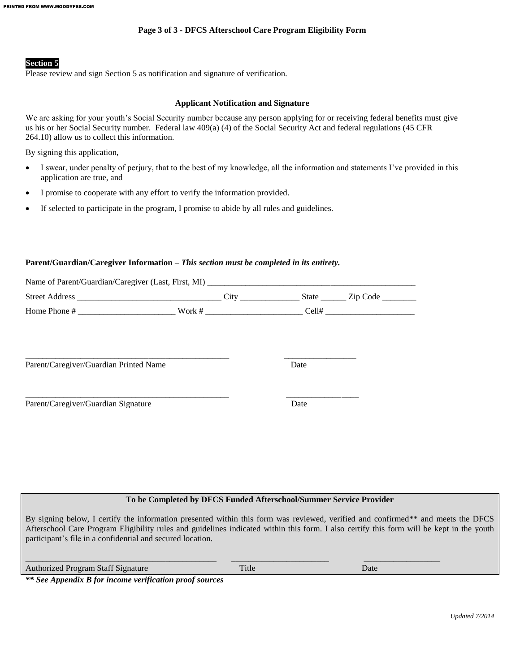#### **Page 3 of 3 - DFCS Afterschool Care Program Eligibility Form**

#### **Section 5**

Please review and sign Section 5 as notification and signature of verification.

#### **Applicant Notification and Signature**

We are asking for your youth's Social Security number because any person applying for or receiving federal benefits must give us his or her Social Security number. Federal law 409(a) (4) of the Social Security Act and federal regulations (45 CFR 264.10) allow us to collect this information.

By signing this application,

- I swear, under penalty of perjury, that to the best of my knowledge, all the information and statements I've provided in this application are true, and
- I promise to cooperate with any effort to verify the information provided.
- If selected to participate in the program, I promise to abide by all rules and guidelines.

### **Parent/Guardian/Caregiver Information –** *This section must be completed in its entirety.*

| Parent/Caregiver/Guardian Printed Name                                                                         |                                                                    | Date |  |
|----------------------------------------------------------------------------------------------------------------|--------------------------------------------------------------------|------|--|
| Parent/Caregiver/Guardian Signature                                                                            |                                                                    | Date |  |
|                                                                                                                |                                                                    |      |  |
|                                                                                                                |                                                                    |      |  |
|                                                                                                                |                                                                    |      |  |
|                                                                                                                |                                                                    |      |  |
|                                                                                                                | To be Completed by DFCS Funded Afterschool/Summer Service Provider |      |  |
| By signing below I certify the information presented within this form was reviewed verified and confirmed** at |                                                                    |      |  |

the information presented within this form was reviewed, verified and confirmed\*\* and meets the DFCS Afterschool Care Program Eligibility rules and guidelines indicated within this form. I also certify this form will be kept in the youth participant's file in a confidential and secured location.

\_\_\_\_\_\_\_\_\_\_\_\_\_\_\_\_\_\_\_\_\_\_\_\_\_\_\_\_\_\_\_\_\_\_\_\_\_\_\_\_\_\_\_\_\_ \_\_\_\_\_\_\_\_\_\_\_\_\_\_\_\_\_\_\_\_\_\_\_ \_\_\_\_\_\_\_\_\_\_\_\_\_\_\_\_\_\_ Authorized Program Staff Signature Title Date

*\*\* See Appendix B for income verification proof sources*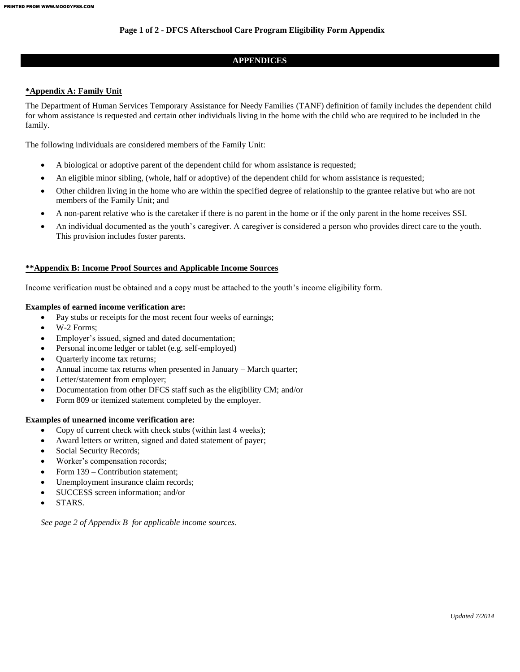#### **Page 1 of 2 - DFCS Afterschool Care Program Eligibility Form Appendix**

#### **APPENDICES**

#### **\*Appendix A: Family Unit**

The Department of Human Services Temporary Assistance for Needy Families (TANF) definition of family includes the dependent child for whom assistance is requested and certain other individuals living in the home with the child who are required to be included in the family.

The following individuals are considered members of the Family Unit:

- A biological or adoptive parent of the dependent child for whom assistance is requested;
- An eligible minor sibling, (whole, half or adoptive) of the dependent child for whom assistance is requested;
- Other children living in the home who are within the specified degree of relationship to the grantee relative but who are not members of the Family Unit; and
- A non-parent relative who is the caretaker if there is no parent in the home or if the only parent in the home receives SSI.
- An individual documented as the youth's caregiver. A caregiver is considered a person who provides direct care to the youth. This provision includes foster parents.

#### **\*\*Appendix B: Income Proof Sources and Applicable Income Sources**

Income verification must be obtained and a copy must be attached to the youth's income eligibility form.

#### **Examples of earned income verification are:**

- Pay stubs or receipts for the most recent four weeks of earnings;
- W-2 Forms;
- Employer's issued, signed and dated documentation;
- Personal income ledger or tablet (e.g. self-employed)
- Quarterly income tax returns;
- Annual income tax returns when presented in January March quarter;
- Letter/statement from employer;
- Documentation from other DFCS staff such as the eligibility CM; and/or
- Form 809 or itemized statement completed by the employer.

#### **Examples of unearned income verification are:**

- Copy of current check with check stubs (within last 4 weeks);
- Award letters or written, signed and dated statement of payer;
- Social Security Records;
- Worker's compensation records;
- Form 139 Contribution statement;
- Unemployment insurance claim records;
- SUCCESS screen information; and/or
- STARS.

*See page 2 of Appendix B for applicable income sources.*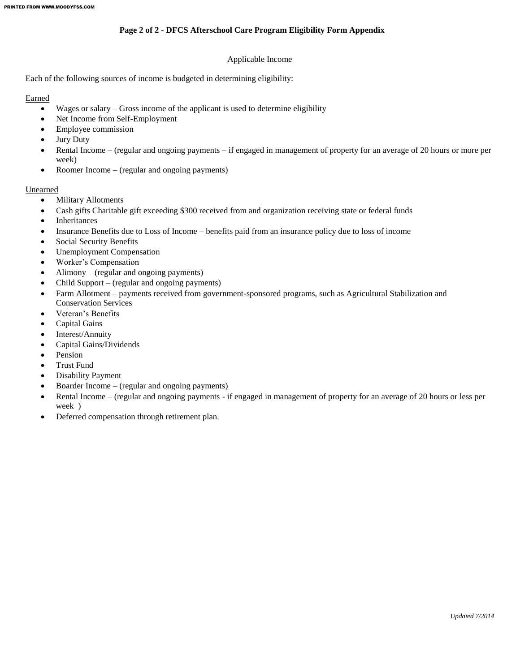#### **Page 2 of 2 - DFCS Afterschool Care Program Eligibility Form Appendix**

#### Applicable Income

Each of the following sources of income is budgeted in determining eligibility:

#### Earned

- Wages or salary Gross income of the applicant is used to determine eligibility
- Net Income from Self-Employment
- Employee commission
- Jury Duty
- Rental Income (regular and ongoing payments if engaged in management of property for an average of 20 hours or more per week)
- Roomer Income (regular and ongoing payments)

#### Unearned

- Military Allotments
- Cash gifts Charitable gift exceeding \$300 received from and organization receiving state or federal funds
- Inheritances
- Insurance Benefits due to Loss of Income benefits paid from an insurance policy due to loss of income
- Social Security Benefits
- Unemployment Compensation
- Worker's Compensation
- Alimony (regular and ongoing payments)
- Child Support (regular and ongoing payments)
- Farm Allotment payments received from government-sponsored programs, such as Agricultural Stabilization and Conservation Services
- Veteran's Benefits
- Capital Gains
- Interest/Annuity
- Capital Gains/Dividends
- Pension
- Trust Fund
- Disability Payment
- Boarder Income (regular and ongoing payments)
- Rental Income (regular and ongoing payments if engaged in management of property for an average of 20 hours or less per week )
- Deferred compensation through retirement plan.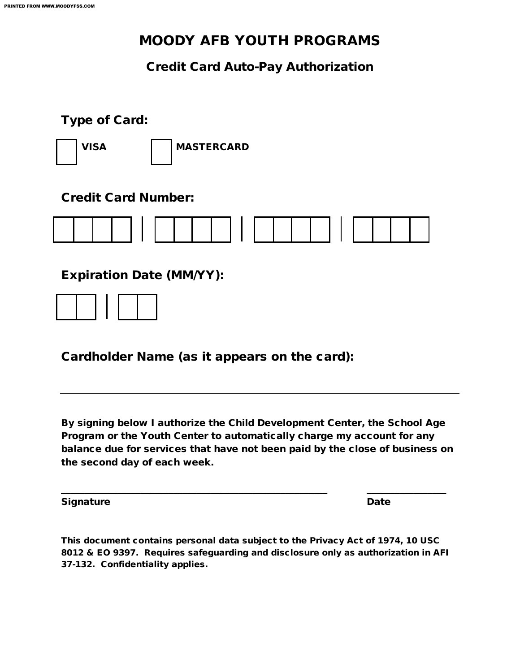## MOODY AFB YOUTH PROGRAMS

### Credit Card Auto-Pay Authorization

### Type of Card:



VISA | MASTERCARD

### Credit Card Number:



Expiration Date (MM/YY):



Cardholder Name (as it appears on the card):

By signing below I authorize the Child Development Center, the School Age Program or the Youth Center to automatically charge my account for any balance due for services that have not been paid by the close of business on the second day of each week.

\_\_\_\_\_\_\_\_\_\_\_\_\_\_\_\_\_\_\_\_\_\_\_\_\_\_\_\_\_\_\_\_\_\_\_\_\_\_\_\_\_\_\_\_\_\_\_\_\_\_\_\_\_\_\_\_\_ \_\_\_\_\_\_\_\_\_\_\_\_\_\_\_\_\_

Signature **Date** 

This document contains personal data subject to the Privacy Act of 1974, 10 USC 8012 & EO 9397. Requires safeguarding and disclosure only as authorization in AFI 37-132. Confidentiality applies.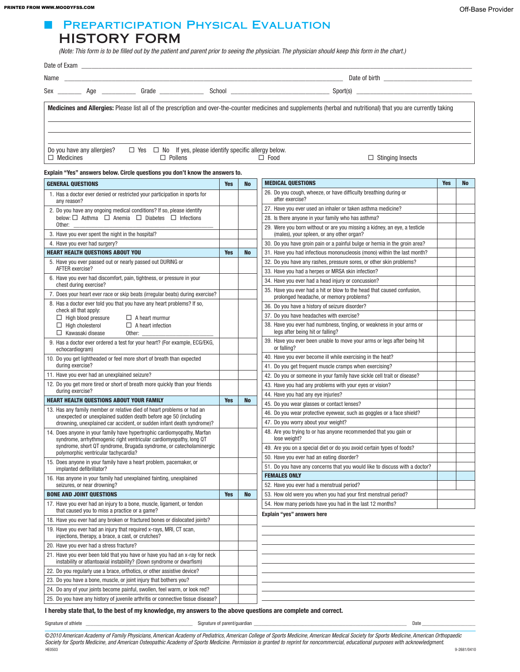#### Off-Base Provider PRINTED FROM WWW.MOODYFSS.COM

### ■ PREPARTICIPATION PHYSICAL EVALUATION HISTORY FORM

 *(Note: This form is to be filled out by the patient and parent prior to seeing the physician. The physician should keep this form in the chart.)*

| Name                                           | <u> 1980 - John Stein, mars and de Britain and de Britain and de Britain and de Britain and de Britain and de Bri</u> |                                                                                        |  |                           |                                                                                                                                                                    |
|------------------------------------------------|-----------------------------------------------------------------------------------------------------------------------|----------------------------------------------------------------------------------------|--|---------------------------|--------------------------------------------------------------------------------------------------------------------------------------------------------------------|
|                                                |                                                                                                                       |                                                                                        |  | Sex Age Grade Cape School | Spot(s)                                                                                                                                                            |
|                                                |                                                                                                                       |                                                                                        |  |                           | Medicines and Allergies: Please list all of the prescription and over-the-counter medicines and supplements (herbal and nutritional) that you are currently taking |
| Do you have any allergies?<br>$\Box$ Medicines |                                                                                                                       | $\Box$ Yes $\Box$ No If yes, please identify specific allergy below.<br>$\Box$ Pollens |  | $\Box$ Food               | $\Box$ Stinging Insects                                                                                                                                            |

#### Explain "Yes" answers below. Circle questions you don't know the answers to.

| <b>GENERAL QUESTIONS</b>                                                                                                                            | <b>Yes</b> | <b>No</b> | <b>MEDICAL QUESTIONS</b>                                                                                               | <b>Yes</b> | <b>No</b> |
|-----------------------------------------------------------------------------------------------------------------------------------------------------|------------|-----------|------------------------------------------------------------------------------------------------------------------------|------------|-----------|
| 1. Has a doctor ever denied or restricted your participation in sports for<br>any reason?                                                           |            |           | 26. Do you cough, wheeze, or have difficulty breathing during or<br>after exercise?                                    |            |           |
| 2. Do you have any ongoing medical conditions? If so, please identify                                                                               |            |           | 27. Have you ever used an inhaler or taken asthma medicine?                                                            |            |           |
| below: $\Box$ Asthma $\Box$ Anemia $\Box$ Diabetes $\Box$ Infections                                                                                |            |           | 28. Is there anyone in your family who has asthma?                                                                     |            |           |
| Other:<br>3. Have you ever spent the night in the hospital?                                                                                         |            |           | 29. Were you born without or are you missing a kidney, an eye, a testicle<br>(males), your spleen, or any other organ? |            |           |
| 4. Have you ever had surgery?                                                                                                                       |            |           | 30. Do you have groin pain or a painful bulge or hernia in the groin area?                                             |            |           |
| <b>HEART HEALTH QUESTIONS ABOUT YOU</b>                                                                                                             | <b>Yes</b> | <b>No</b> | 31. Have you had infectious mononucleosis (mono) within the last month?                                                |            |           |
| 5. Have you ever passed out or nearly passed out DURING or                                                                                          |            |           | 32. Do you have any rashes, pressure sores, or other skin problems?                                                    |            |           |
| AFTER exercise?                                                                                                                                     |            |           | 33. Have you had a herpes or MRSA skin infection?                                                                      |            |           |
| 6. Have you ever had discomfort, pain, tightness, or pressure in your<br>chest during exercise?                                                     |            |           | 34. Have you ever had a head injury or concussion?                                                                     |            |           |
| 7. Does your heart ever race or skip beats (irregular beats) during exercise?                                                                       |            |           | 35. Have you ever had a hit or blow to the head that caused confusion,<br>prolonged headache, or memory problems?      |            |           |
| 8. Has a doctor ever told you that you have any heart problems? If so,<br>check all that apply:                                                     |            |           | 36. Do you have a history of seizure disorder?                                                                         |            |           |
| $\Box$ High blood pressure<br>$\Box$ A heart murmur                                                                                                 |            |           | 37. Do you have headaches with exercise?                                                                               |            |           |
| $\Box$ High cholesterol<br>$\Box$ A heart infection<br>$\Box$ Kawasaki disease<br>Other:                                                            |            |           | 38. Have you ever had numbness, tingling, or weakness in your arms or<br>legs after being hit or falling?              |            |           |
| 9. Has a doctor ever ordered a test for your heart? (For example, ECG/EKG,<br>echocardiogram)                                                       |            |           | 39. Have you ever been unable to move your arms or legs after being hit<br>or falling?                                 |            |           |
| 10. Do you get lightheaded or feel more short of breath than expected                                                                               |            |           | 40. Have you ever become ill while exercising in the heat?                                                             |            |           |
| during exercise?                                                                                                                                    |            |           | 41. Do you get frequent muscle cramps when exercising?                                                                 |            |           |
| 11. Have you ever had an unexplained seizure?                                                                                                       |            |           | 42. Do you or someone in your family have sickle cell trait or disease?                                                |            |           |
| 12. Do you get more tired or short of breath more quickly than your friends                                                                         |            |           | 43. Have you had any problems with your eyes or vision?                                                                |            |           |
| during exercise?                                                                                                                                    |            |           | 44. Have you had any eye injuries?                                                                                     |            |           |
| <b>HEART HEALTH QUESTIONS ABOUT YOUR FAMILY</b>                                                                                                     | <b>Yes</b> | <b>No</b> | 45. Do you wear glasses or contact lenses?                                                                             |            |           |
| 13. Has any family member or relative died of heart problems or had an<br>unexpected or unexplained sudden death before age 50 (including           |            |           | 46. Do you wear protective eyewear, such as goggles or a face shield?                                                  |            |           |
| drowning, unexplained car accident, or sudden infant death syndrome)?                                                                               |            |           | 47. Do you worry about your weight?                                                                                    |            |           |
| 14. Does anyone in your family have hypertrophic cardiomyopathy, Marfan<br>syndrome, arrhythmogenic right ventricular cardiomyopathy, long QT       |            |           | 48. Are you trying to or has anyone recommended that you gain or<br>lose weight?                                       |            |           |
| syndrome, short QT syndrome, Brugada syndrome, or catecholaminergic<br>polymorphic ventricular tachycardia?                                         |            |           | 49. Are you on a special diet or do you avoid certain types of foods?                                                  |            |           |
| 15. Does anyone in your family have a heart problem, pacemaker, or                                                                                  |            |           | 50. Have you ever had an eating disorder?                                                                              |            |           |
| implanted defibrillator?                                                                                                                            |            |           | 51. Do you have any concerns that you would like to discuss with a doctor?                                             |            |           |
| 16. Has anyone in your family had unexplained fainting, unexplained                                                                                 |            |           | <b>FEMALES ONLY</b>                                                                                                    |            |           |
| seizures, or near drowning?                                                                                                                         |            |           | 52. Have you ever had a menstrual period?                                                                              |            |           |
| <b>BONE AND JOINT QUESTIONS</b>                                                                                                                     | <b>Yes</b> | <b>No</b> | 53. How old were you when you had your first menstrual period?                                                         |            |           |
| 17. Have you ever had an injury to a bone, muscle, ligament, or tendon<br>that caused you to miss a practice or a game?                             |            |           | 54. How many periods have you had in the last 12 months?<br>Explain "yes" answers here                                 |            |           |
| 18. Have you ever had any broken or fractured bones or dislocated joints?                                                                           |            |           |                                                                                                                        |            |           |
| 19. Have you ever had an injury that required x-rays, MRI, CT scan,<br>injections, therapy, a brace, a cast, or crutches?                           |            |           |                                                                                                                        |            |           |
| 20. Have you ever had a stress fracture?                                                                                                            |            |           |                                                                                                                        |            |           |
| 21. Have you ever been told that you have or have you had an x-ray for neck<br>instability or atlantoaxial instability? (Down syndrome or dwarfism) |            |           |                                                                                                                        |            |           |
| 22. Do you regularly use a brace, orthotics, or other assistive device?                                                                             |            |           |                                                                                                                        |            |           |
| 23. Do you have a bone, muscle, or joint injury that bothers you?                                                                                   |            |           |                                                                                                                        |            |           |
| 24. Do any of your joints become painful, swollen, feel warm, or look red?                                                                          |            |           |                                                                                                                        |            |           |
| 25. Do you have any history of juvenile arthritis or connective tissue disease?                                                                     |            |           |                                                                                                                        |            |           |

I hereby state that, to the best of my knowledge, my answers to the above questions are complete and correct.

Signature of athlete examples are the controller of parent/guardian and the controller of parent/guardian controller and the controller of parent/guardian controller and the controller of parent/guardian controller and the

©*2010 American Academy of Family Physicians, American Academy of Pediatrics, American College of Sports Medicine, American Medical Society for Sports Medicine, American Orthopaedic Society for Sports Medicine, and American Osteopathic Academy of Sports Medicine. Permission is granted to reprint for noncommercial, educational purposes with acknowledgment.* HE0503 9-2681/0410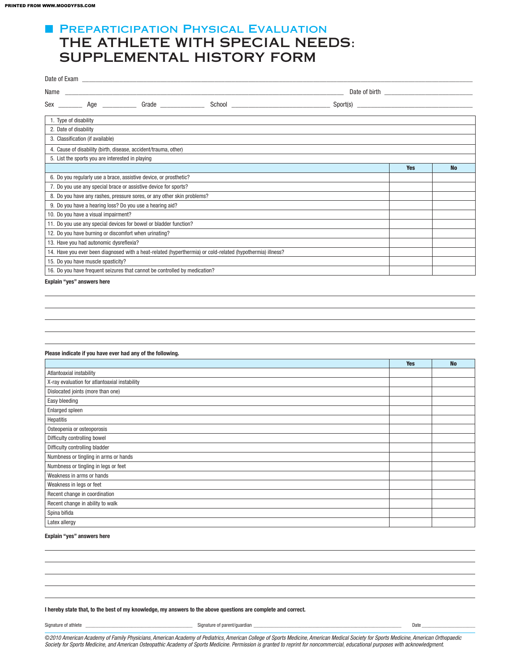### **FI PREPARTICIPATION PHYSICAL EVALUATION** THE ATHLETE WITH SPECIAL NEEDS: SUPPLEMENTAL HISTORY FORM

| Name |                                                                            |                                                                        |                                                                                                            |  |            |           |
|------|----------------------------------------------------------------------------|------------------------------------------------------------------------|------------------------------------------------------------------------------------------------------------|--|------------|-----------|
|      |                                                                            |                                                                        |                                                                                                            |  |            |           |
|      |                                                                            |                                                                        |                                                                                                            |  |            |           |
|      | 1. Type of disability                                                      |                                                                        |                                                                                                            |  |            |           |
|      | 2. Date of disability                                                      |                                                                        |                                                                                                            |  |            |           |
|      | 3. Classification (if available)                                           |                                                                        |                                                                                                            |  |            |           |
|      |                                                                            | 4. Cause of disability (birth, disease, accident/trauma, other)        |                                                                                                            |  |            |           |
|      | 5. List the sports you are interested in playing                           |                                                                        |                                                                                                            |  |            |           |
|      |                                                                            |                                                                        |                                                                                                            |  | <b>Yes</b> | <b>No</b> |
|      |                                                                            | 6. Do you regularly use a brace, assistive device, or prosthetic?      |                                                                                                            |  |            |           |
|      |                                                                            | 7. Do you use any special brace or assistive device for sports?        |                                                                                                            |  |            |           |
|      |                                                                            | 8. Do you have any rashes, pressure sores, or any other skin problems? |                                                                                                            |  |            |           |
|      | 9. Do you have a hearing loss? Do you use a hearing aid?                   |                                                                        |                                                                                                            |  |            |           |
|      | 10. Do you have a visual impairment?                                       |                                                                        |                                                                                                            |  |            |           |
|      |                                                                            | 11. Do you use any special devices for bowel or bladder function?      |                                                                                                            |  |            |           |
|      | 12. Do you have burning or discomfort when urinating?                      |                                                                        |                                                                                                            |  |            |           |
|      | 13. Have you had autonomic dysreflexia?                                    |                                                                        |                                                                                                            |  |            |           |
|      |                                                                            |                                                                        | 14. Have you ever been diagnosed with a heat-related (hyperthermia) or cold-related (hypothermia) illness? |  |            |           |
|      | 15. Do you have muscle spasticity?                                         |                                                                        |                                                                                                            |  |            |           |
|      | 16. Do you have frequent seizures that cannot be controlled by medication? |                                                                        |                                                                                                            |  |            |           |
|      |                                                                            |                                                                        |                                                                                                            |  |            |           |

Explain "yes" answers here

#### Please indicate if you have ever had any of the following.

|                                               | <b>Yes</b> | <b>No</b> |
|-----------------------------------------------|------------|-----------|
| Atlantoaxial instability                      |            |           |
| X-ray evaluation for atlantoaxial instability |            |           |
| Dislocated joints (more than one)             |            |           |
| Easy bleeding                                 |            |           |
| Enlarged spleen                               |            |           |
| Hepatitis                                     |            |           |
| Osteopenia or osteoporosis                    |            |           |
| Difficulty controlling bowel                  |            |           |
| Difficulty controlling bladder                |            |           |
| Numbness or tingling in arms or hands         |            |           |
| Numbness or tingling in legs or feet          |            |           |
| Weakness in arms or hands                     |            |           |
| Weakness in legs or feet                      |            |           |
| Recent change in coordination                 |            |           |
| Recent change in ability to walk              |            |           |
| Spina bifida                                  |            |           |
| Latex allergy                                 |            |           |

#### Explain "yes" answers here

#### I hereby state that, to the best of my knowledge, my answers to the above questions are complete and correct.

Signature of athlete \_\_\_\_\_\_\_\_\_\_\_\_\_\_\_\_\_\_\_\_\_\_\_\_\_\_\_\_\_\_\_\_\_\_\_\_\_\_\_\_\_\_ Signature of parent/guardian \_\_\_\_\_\_\_\_\_\_\_\_\_\_\_\_\_\_\_\_\_\_\_\_\_\_\_\_\_\_\_\_\_\_\_\_\_\_\_\_\_\_\_\_\_\_\_\_\_\_\_\_\_\_\_\_\_\_ Date \_\_\_\_\_\_\_\_\_\_\_\_\_\_\_\_\_\_\_\_\_

©*2010 American Academy of Family Physicians, American Academy of Pediatrics, American College of Sports Medicine, American Medical Society for Sports Medicine, American Orthopaedic Society for Sports Medicine, and American Osteopathic Academy of Sports Medicine. Permission is granted to reprint for noncommercial, educational purposes with acknowledgment.*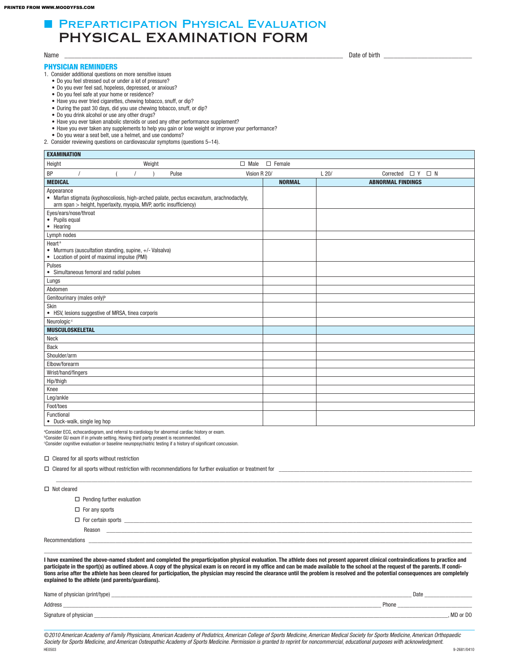### **E PREPARTICIPATION PHYSICAL EVALUATION** PHYSICAL EXAMINATION FORM

#### PHYSICIAN REMINDERS

1. Consider additional questions on more sensitive issues

- • Do you feel stressed out or under a lot of pressure?
- Do you ever feel sad, hopeless, depressed, or anxious?
- Do you feel safe at your home or residence?
- Have you ever tried cigarettes, chewing tobacco, snuff, or dip?
- • During the past 30 days, did you use chewing tobacco, snuff, or dip?
- • Do you drink alcohol or use any other drugs?
- Have you ever taken anabolic steroids or used any other performance supplement?
- Have you ever taken any supplements to help you gain or lose weight or improve your performance?
- • Do you wear a seat belt, use a helmet, and use condoms?
- 2. Consider reviewing questions on cardiovascular symptoms (questions 5–14).

| <b>EXAMINATION</b>                                                                                                                                                           |               |                                     |  |  |  |  |
|------------------------------------------------------------------------------------------------------------------------------------------------------------------------------|---------------|-------------------------------------|--|--|--|--|
| Weight<br>Height<br>$\Box$ Male                                                                                                                                              | $\Box$ Female |                                     |  |  |  |  |
| BP<br>Pulse<br>Vision R 20/                                                                                                                                                  |               | L20/<br>Corrected $\Box$ Y $\Box$ N |  |  |  |  |
| <b>MEDICAL</b>                                                                                                                                                               | <b>NORMAL</b> | <b>ABNORMAL FINDINGS</b>            |  |  |  |  |
| Appearance<br>• Marfan stigmata (kyphoscoliosis, high-arched palate, pectus excavatum, arachnodactyly,<br>arm span > height, hyperlaxity, myopia, MVP, aortic insufficiency) |               |                                     |  |  |  |  |
| Eyes/ears/nose/throat<br>• Pupils equal<br>• Hearing                                                                                                                         |               |                                     |  |  |  |  |
| Lymph nodes                                                                                                                                                                  |               |                                     |  |  |  |  |
| Heart <sup>a</sup><br>• Murmurs (auscultation standing, supine, +/- Valsalva)<br>• Location of point of maximal impulse (PMI)                                                |               |                                     |  |  |  |  |
| Pulses<br>• Simultaneous femoral and radial pulses                                                                                                                           |               |                                     |  |  |  |  |
| Lungs                                                                                                                                                                        |               |                                     |  |  |  |  |
| Abdomen                                                                                                                                                                      |               |                                     |  |  |  |  |
| Genitourinary (males only) <sup>b</sup>                                                                                                                                      |               |                                     |  |  |  |  |
| Skin<br>• HSV, lesions suggestive of MRSA, tinea corporis                                                                                                                    |               |                                     |  |  |  |  |
| Neurologic <sup>c</sup>                                                                                                                                                      |               |                                     |  |  |  |  |
| <b>MUSCULOSKELETAL</b>                                                                                                                                                       |               |                                     |  |  |  |  |
| Neck                                                                                                                                                                         |               |                                     |  |  |  |  |
| <b>Back</b>                                                                                                                                                                  |               |                                     |  |  |  |  |
| Shoulder/arm                                                                                                                                                                 |               |                                     |  |  |  |  |
| Elbow/forearm                                                                                                                                                                |               |                                     |  |  |  |  |
| Wrist/hand/fingers                                                                                                                                                           |               |                                     |  |  |  |  |
| Hip/thigh                                                                                                                                                                    |               |                                     |  |  |  |  |
| Knee                                                                                                                                                                         |               |                                     |  |  |  |  |
| Leg/ankle                                                                                                                                                                    |               |                                     |  |  |  |  |
| Foot/toes                                                                                                                                                                    |               |                                     |  |  |  |  |
| Functional<br>• Duck-walk, single leg hop                                                                                                                                    |               |                                     |  |  |  |  |

<sup>a</sup>Consider ECG, echocardiogram, and referral to cardiology for abnormal cardiac history or exam.

<sup>ь</sup>Consider GU exam if in private setting. Having third party present is recommended.<br>℃onsider cognitive evaluation or baseline neuropsychiatric testing if a history of significant concussion.

 $\Box$  Cleared for all sports without restriction with recommendations for further evaluation or treatment for

 $\square$  Cleared for all sports without restriction

| $\Box$ Not cleared                |  |
|-----------------------------------|--|
| $\Box$ Pending further evaluation |  |
| $\Box$ For any sports             |  |
| $\Box$ For certain sports         |  |
| Reason                            |  |
| Recommendations                   |  |
|                                   |  |

I have examined the above-named student and completed the preparticipation physical evaluation. The athlete does not present apparent clinical contraindications to practice and participate in the sport(s) as outlined above. A copy of the physical exam is on record in my office and can be made available to the school at the request of the parents. If conditions arise after the athlete has been cleared for participation, the physician may rescind the clearance until the problem is resolved and the potential consequences are completely explained to the athlete (and parents/guardians).

| Name of physician (print/type) | Date       |
|--------------------------------|------------|
| Address                        | Phone      |
| Signature of physician         | . MD or DO |

©*2010 American Academy of Family Physicians, American Academy of Pediatrics, American College of Sports Medicine, American Medical Society for Sports Medicine, American Orthopaedic*  Society for Sports Medicine, and American Osteopathic Academy of Sports Medicine. Permission is granted to reprint for noncommercial, educational purposes with acknowledgment.<br>HEGGGS HE0503 9-2681/0410

Name \_\_\_\_\_\_\_\_\_\_\_\_\_\_\_\_\_\_\_\_\_\_\_\_\_\_\_\_\_\_\_\_\_\_\_\_\_\_\_\_\_\_\_\_\_\_\_\_\_\_\_\_\_\_\_\_\_\_\_\_\_\_\_\_\_\_\_\_\_\_\_\_\_\_\_\_\_\_\_\_\_\_ Date of birth \_\_\_\_\_\_\_\_\_\_\_\_\_\_\_\_\_\_\_\_\_\_\_\_\_\_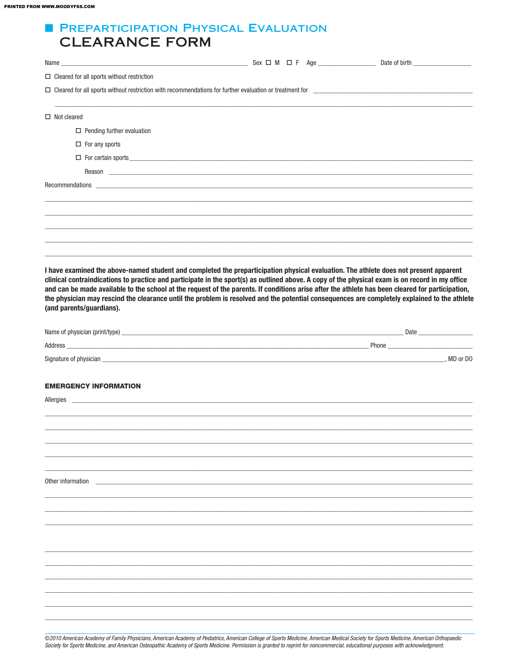### **FI PREPARTICIPATION PHYSICAL EVALUATION CLEARANCE FORM**

|                    | $\Box$ Cleared for all sports without restriction                                                                                                                                                                             |                                                                                                                                                                                                                                                                                                                                                                                                                                                                                                                                                                                              |  |
|--------------------|-------------------------------------------------------------------------------------------------------------------------------------------------------------------------------------------------------------------------------|----------------------------------------------------------------------------------------------------------------------------------------------------------------------------------------------------------------------------------------------------------------------------------------------------------------------------------------------------------------------------------------------------------------------------------------------------------------------------------------------------------------------------------------------------------------------------------------------|--|
|                    |                                                                                                                                                                                                                               |                                                                                                                                                                                                                                                                                                                                                                                                                                                                                                                                                                                              |  |
| $\Box$ Not cleared |                                                                                                                                                                                                                               |                                                                                                                                                                                                                                                                                                                                                                                                                                                                                                                                                                                              |  |
|                    | $\Box$ Pending further evaluation                                                                                                                                                                                             |                                                                                                                                                                                                                                                                                                                                                                                                                                                                                                                                                                                              |  |
|                    | $\Box$ For any sports                                                                                                                                                                                                         |                                                                                                                                                                                                                                                                                                                                                                                                                                                                                                                                                                                              |  |
|                    |                                                                                                                                                                                                                               | $\Box$ For certain sports                                                                                                                                                                                                                                                                                                                                                                                                                                                                                                                                                                    |  |
|                    |                                                                                                                                                                                                                               |                                                                                                                                                                                                                                                                                                                                                                                                                                                                                                                                                                                              |  |
|                    |                                                                                                                                                                                                                               |                                                                                                                                                                                                                                                                                                                                                                                                                                                                                                                                                                                              |  |
|                    |                                                                                                                                                                                                                               |                                                                                                                                                                                                                                                                                                                                                                                                                                                                                                                                                                                              |  |
|                    |                                                                                                                                                                                                                               |                                                                                                                                                                                                                                                                                                                                                                                                                                                                                                                                                                                              |  |
|                    |                                                                                                                                                                                                                               |                                                                                                                                                                                                                                                                                                                                                                                                                                                                                                                                                                                              |  |
|                    |                                                                                                                                                                                                                               |                                                                                                                                                                                                                                                                                                                                                                                                                                                                                                                                                                                              |  |
|                    | (and parents/guardians).                                                                                                                                                                                                      | I have examined the above-named student and completed the preparticipation physical evaluation. The athlete does not present apparent<br>clinical contraindications to practice and participate in the sport(s) as outlined above. A copy of the physical exam is on record in my office<br>and can be made available to the school at the request of the parents. If conditions arise after the athlete has been cleared for participation,<br>the physician may rescind the clearance until the problem is resolved and the potential consequences are completely explained to the athlete |  |
|                    |                                                                                                                                                                                                                               |                                                                                                                                                                                                                                                                                                                                                                                                                                                                                                                                                                                              |  |
|                    |                                                                                                                                                                                                                               |                                                                                                                                                                                                                                                                                                                                                                                                                                                                                                                                                                                              |  |
|                    |                                                                                                                                                                                                                               | Signature of physician example and the state of the state of the state of the state of physician example. The state of the state of the state of the state of the state of the state of the state of the state of the state of                                                                                                                                                                                                                                                                                                                                                               |  |
|                    |                                                                                                                                                                                                                               |                                                                                                                                                                                                                                                                                                                                                                                                                                                                                                                                                                                              |  |
|                    | <b>EMERGENCY INFORMATION</b>                                                                                                                                                                                                  |                                                                                                                                                                                                                                                                                                                                                                                                                                                                                                                                                                                              |  |
|                    | Allergies and the contract of the contract of the contract of the contract of the contract of the contract of the contract of the contract of the contract of the contract of the contract of the contract of the contract of |                                                                                                                                                                                                                                                                                                                                                                                                                                                                                                                                                                                              |  |
|                    |                                                                                                                                                                                                                               |                                                                                                                                                                                                                                                                                                                                                                                                                                                                                                                                                                                              |  |
|                    |                                                                                                                                                                                                                               |                                                                                                                                                                                                                                                                                                                                                                                                                                                                                                                                                                                              |  |
|                    |                                                                                                                                                                                                                               |                                                                                                                                                                                                                                                                                                                                                                                                                                                                                                                                                                                              |  |
|                    |                                                                                                                                                                                                                               |                                                                                                                                                                                                                                                                                                                                                                                                                                                                                                                                                                                              |  |
| Other information  |                                                                                                                                                                                                                               |                                                                                                                                                                                                                                                                                                                                                                                                                                                                                                                                                                                              |  |
|                    |                                                                                                                                                                                                                               |                                                                                                                                                                                                                                                                                                                                                                                                                                                                                                                                                                                              |  |
|                    |                                                                                                                                                                                                                               |                                                                                                                                                                                                                                                                                                                                                                                                                                                                                                                                                                                              |  |
|                    |                                                                                                                                                                                                                               |                                                                                                                                                                                                                                                                                                                                                                                                                                                                                                                                                                                              |  |
|                    |                                                                                                                                                                                                                               |                                                                                                                                                                                                                                                                                                                                                                                                                                                                                                                                                                                              |  |
|                    |                                                                                                                                                                                                                               |                                                                                                                                                                                                                                                                                                                                                                                                                                                                                                                                                                                              |  |
|                    |                                                                                                                                                                                                                               |                                                                                                                                                                                                                                                                                                                                                                                                                                                                                                                                                                                              |  |
|                    |                                                                                                                                                                                                                               |                                                                                                                                                                                                                                                                                                                                                                                                                                                                                                                                                                                              |  |
|                    |                                                                                                                                                                                                                               |                                                                                                                                                                                                                                                                                                                                                                                                                                                                                                                                                                                              |  |
|                    |                                                                                                                                                                                                                               |                                                                                                                                                                                                                                                                                                                                                                                                                                                                                                                                                                                              |  |
|                    |                                                                                                                                                                                                                               |                                                                                                                                                                                                                                                                                                                                                                                                                                                                                                                                                                                              |  |

©2010 American Academy of Family Physicians, American Academy of Pediatrics, American College of Sports Medicine, American Medical Society for Sports Medicine, American Orthopaedic<br>Society for Sports Medicine, and American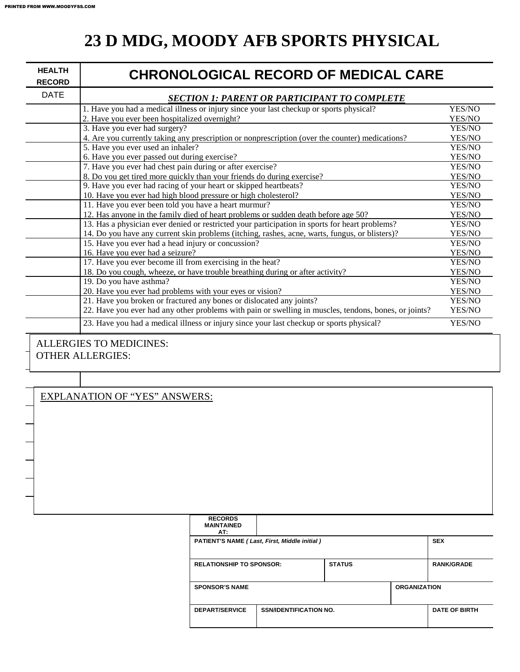## **23 D MDG, MOODY AFB SPORTS PHYSICAL**

| <b>HEALTH</b><br><b>RECORD</b> | <b>CHRONOLOGICAL RECORD OF MEDICAL CARE</b>                                                           |        |
|--------------------------------|-------------------------------------------------------------------------------------------------------|--------|
| <b>DATE</b>                    | <b>SECTION 1: PARENT OR PARTICIPANT TO COMPLETE</b>                                                   |        |
|                                | 1. Have you had a medical illness or injury since your last checkup or sports physical?               | YES/NO |
|                                | 2. Have you ever been hospitalized overnight?                                                         | YES/NO |
|                                | 3. Have you ever had surgery?                                                                         | YES/NO |
|                                | 4. Are you currently taking any prescription or nonprescription (over the counter) medications?       | YES/NO |
|                                | 5. Have you ever used an inhaler?                                                                     | YES/NO |
|                                | 6. Have you ever passed out during exercise?                                                          | YES/NO |
|                                | 7. Have you ever had chest pain during or after exercise?                                             | YES/NO |
|                                | 8. Do you get tired more quickly than your friends do during exercise?                                | YES/NO |
|                                | 9. Have you ever had racing of your heart or skipped heartbeats?                                      | YES/NO |
|                                | 10. Have you ever had high blood pressure or high cholesterol?                                        | YES/NO |
|                                | 11. Have you ever been told you have a heart murmur?                                                  | YES/NO |
|                                | 12. Has anyone in the family died of heart problems or sudden death before age 50?                    | YES/NO |
|                                | 13. Has a physician ever denied or restricted your participation in sports for heart problems?        | YES/NO |
|                                | 14. Do you have any current skin problems (itching, rashes, acne, warts, fungus, or blisters)?        | YES/NO |
|                                | 15. Have you ever had a head injury or concussion?                                                    | YES/NO |
|                                | 16. Have you ever had a seizure?                                                                      | YES/NO |
|                                | 17. Have you ever become ill from exercising in the heat?                                             | YES/NO |
|                                | 18. Do you cough, wheeze, or have trouble breathing during or after activity?                         | YES/NO |
|                                | 19. Do you have asthma?                                                                               | YES/NO |
|                                | 20. Have you ever had problems with your eyes or vision?                                              | YES/NO |
|                                | 21. Have you broken or fractured any bones or dislocated any joints?                                  | YES/NO |
|                                | 22. Have you ever had any other problems with pain or swelling in muscles, tendons, bones, or joints? | YES/NO |
|                                | 23. Have you had a medical illness or injury since your last checkup or sports physical?              | YES/NO |
|                                | I I FRAIDE TO MERICINES                                                                               |        |

### ALLERGIES TO MEDICINES: OTHER ALLERGIES:

### EXPLANATION OF "YES" ANSWERS:

| <b>RECORDS</b>                  |                                              |               |                     |                      |
|---------------------------------|----------------------------------------------|---------------|---------------------|----------------------|
| <b>MAINTAINED</b>               |                                              |               |                     |                      |
| AT:                             |                                              |               |                     |                      |
|                                 | PATIENT'S NAME (Last, First, Middle initial) |               |                     | <b>SEX</b>           |
|                                 |                                              |               |                     |                      |
| <b>RELATIONSHIP TO SPONSOR:</b> |                                              | <b>STATUS</b> |                     | <b>RANK/GRADE</b>    |
|                                 |                                              |               |                     |                      |
| <b>SPONSOR'S NAME</b>           |                                              |               | <b>ORGANIZATION</b> |                      |
|                                 |                                              |               |                     |                      |
| <b>DEPART/SERVICE</b>           | <b>SSN/IDENTIFICATION NO.</b>                |               |                     | <b>DATE OF BIRTH</b> |
|                                 |                                              |               |                     |                      |